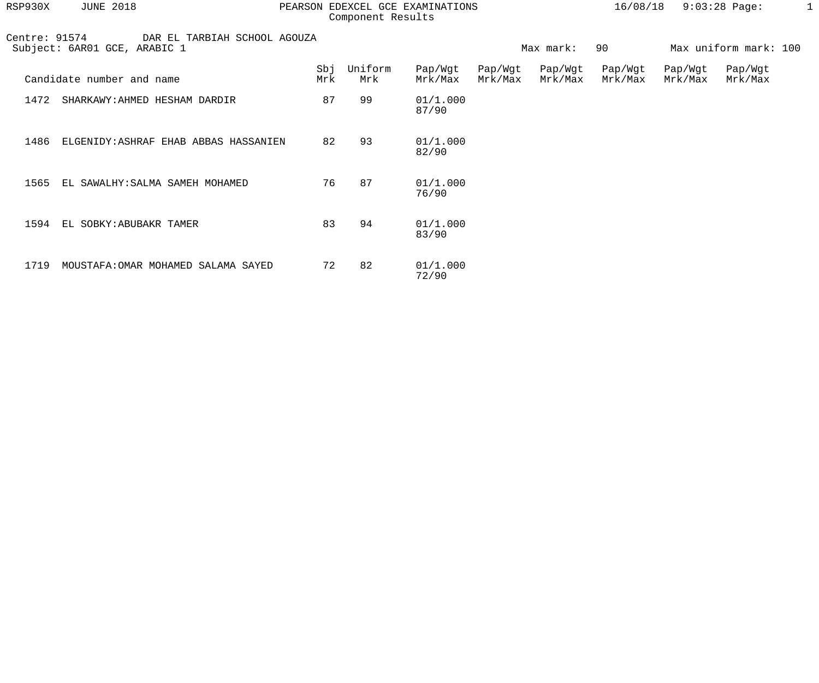| RSP930X | <b>JUNE 2018</b> |  |
|---------|------------------|--|
|         |                  |  |

## RSP930X JUNE 2018 PEARSON EDEXCEL GCE EXAMINATIONS 16/08/18 9:03:28 Page: 1 Component Results

| ۰ |
|---|
|   |
|   |
|   |
|   |
|   |

| Centre: 91574<br>DAR EL TARBIAH SCHOOL AGOUZA<br>Subject: 6AR01 GCE, ARABIC 1 |                                       |            |                | 90<br>Max mark:    |                    |                    | Max uniform mark: 100 |                    |                    |
|-------------------------------------------------------------------------------|---------------------------------------|------------|----------------|--------------------|--------------------|--------------------|-----------------------|--------------------|--------------------|
|                                                                               | Candidate number and name             | Sbj<br>Mrk | Uniform<br>Mrk | Pap/Wgt<br>Mrk/Max | Pap/Wgt<br>Mrk/Max | Pap/Wgt<br>Mrk/Max | Pap/Wgt<br>Mrk/Max    | Pap/Wgt<br>Mrk/Max | Pap/Wgt<br>Mrk/Max |
| 1472                                                                          | SHARKAWY: AHMED HESHAM DARDIR         | 87         | 99             | 01/1.000<br>87/90  |                    |                    |                       |                    |                    |
| 1486                                                                          | ELGENIDY: ASHRAF EHAB ABBAS HASSANIEN | 82         | 93             | 01/1.000<br>82/90  |                    |                    |                       |                    |                    |
| 1565                                                                          | EL SAWALHY: SALMA SAMEH MOHAMED       | 76         | 87             | 01/1.000<br>76/90  |                    |                    |                       |                    |                    |
| 1594                                                                          | EL SOBKY: ABUBAKR TAMER               | 83         | 94             | 01/1.000<br>83/90  |                    |                    |                       |                    |                    |
| 1719                                                                          | MOUSTAFA: OMAR MOHAMED SALAMA SAYED   | 72         | 82             | 01/1.000<br>72/90  |                    |                    |                       |                    |                    |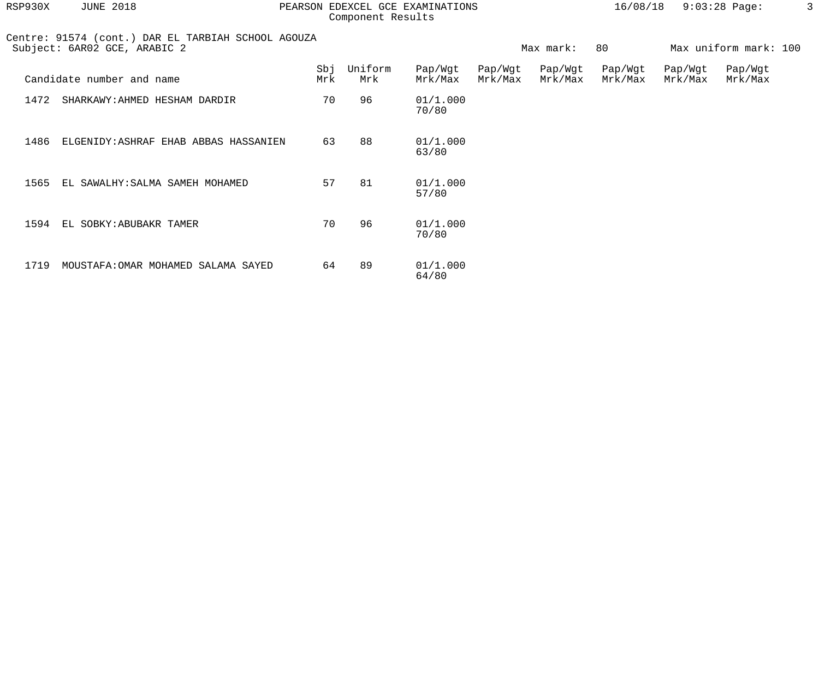| RSP930X | <b>JUNE 2018</b>                                                                   |            | PEARSON EDEXCEL GCE EXAMINATIONS<br>Component Results |                    |                    |                    |                    | 16/08/18           | $9:03:28$ Page:       |  |
|---------|------------------------------------------------------------------------------------|------------|-------------------------------------------------------|--------------------|--------------------|--------------------|--------------------|--------------------|-----------------------|--|
|         | Centre: 91574 (cont.) DAR EL TARBIAH SCHOOL AGOUZA<br>Subject: 6AR02 GCE, ARABIC 2 |            |                                                       |                    |                    | Max mark:          | 80                 |                    | Max uniform mark: 100 |  |
|         | Candidate number and name                                                          | Sbj<br>Mrk | Uniform<br>Mrk                                        | Pap/Wgt<br>Mrk/Max | Pap/Wgt<br>Mrk/Max | Pap/Wgt<br>Mrk/Max | Pap/Wgt<br>Mrk/Max | Pap/Wgt<br>Mrk/Max | Pap/Wgt<br>Mrk/Max    |  |
| 1472    | SHARKAWY: AHMED HESHAM DARDIR                                                      | 70         | 96                                                    | 01/1.000<br>70/80  |                    |                    |                    |                    |                       |  |
| 1486    | ELGENIDY: ASHRAF EHAB ABBAS HASSANIEN                                              | 63         | 88                                                    | 01/1.000<br>63/80  |                    |                    |                    |                    |                       |  |
| 1565    | EL SAWALHY: SALMA SAMEH MOHAMED                                                    | 57         | 81                                                    | 01/1.000<br>57/80  |                    |                    |                    |                    |                       |  |
| 1594    | EL SOBKY: ABUBAKR TAMER                                                            | 70         | 96                                                    | 01/1.000<br>70/80  |                    |                    |                    |                    |                       |  |
| 1719    | MOUSTAFA: OMAR MOHAMED SALAMA SAYED                                                | 64         | 89                                                    | 01/1.000<br>64/80  |                    |                    |                    |                    |                       |  |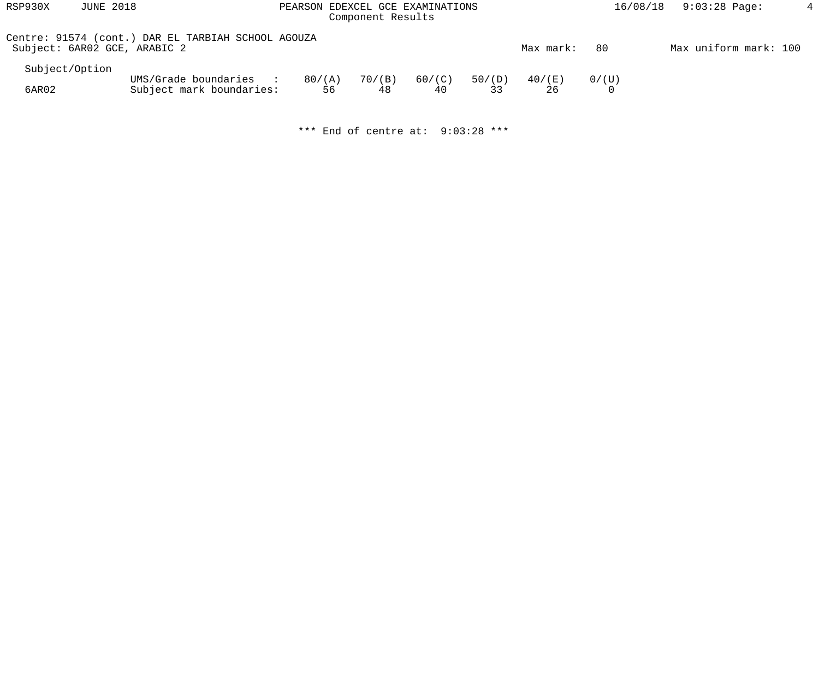| RSP930X        | <b>JUNE 2018</b>                                                                    | PEARSON EDEXCEL GCE EXAMINATIONS<br>Component Results |                    |              |              |                 | 16/08/18 | $9:03:28$ Page:       |  |
|----------------|-------------------------------------------------------------------------------------|-------------------------------------------------------|--------------------|--------------|--------------|-----------------|----------|-----------------------|--|
|                | Centre: 91574 (cont.) DAR EL TARBIAH SCHOOL AGOUZA<br>Subject: 6AR02 GCE, ARABIC 2  |                                                       |                    |              |              | Max mark:       | -80      | Max uniform mark: 100 |  |
| Subject/Option |                                                                                     |                                                       |                    |              |              |                 |          |                       |  |
| 6AR02          | UMS/Grade boundaries<br><b>Contract Contract Street</b><br>Subject mark boundaries: | 80/(A)                                                | 70/(B)<br>56<br>48 | 60/(C)<br>40 | 50/(D)<br>33 | $40/$ (E)<br>26 | 0/(U)    |                       |  |

\*\*\* End of centre at: 9:03:28 \*\*\*